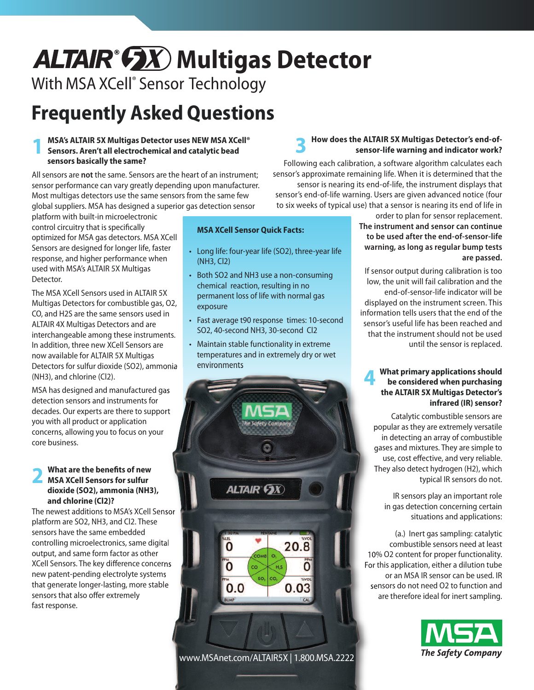# ALTAIR<sup>®</sup> **GX** Multigas Detector

# With MSA XCell ® Sensor Technology

# **Frequently Asked Questions**

#### **1 MSA's ALTAIR 5X Multigas Detector uses NEW MSA XCell® Sensors. Aren't all electrochemical and catalytic bead sensors basically the same?**

All sensors are **not** the same. Sensors are the heart of an instrument; sensor performance can vary greatly depending upon manufacturer. Most multigas detectors use the same sensors from the same few global suppliers. MSA has designed a superior gas detection sensor

platform with built-in microelectronic control circuitry that is specifically optimized for MSA gas detectors. MSA XCell Sensors are designed for longer life, faster response, and higher performance when used with MSA's ALTAIR 5X Multigas Detector.

The MSA XCell Sensors used in ALTAIR 5X Multigas Detectors for combustible gas, O2, CO, and H2S are the same sensors used in ALTAIR 4X Multigas Detectors and are interchangeable among these instruments. In addition, three new XCell Sensors are now available for ALTAIR 5X Multigas Detectors for sulfur dioxide (SO2), ammonia (NH3), and chlorine (Cl2).

MSA has designed and manufactured gas detection sensors and instruments for decades. Our experts are there to support you with all product or application concerns, allowing you to focus on your core business.

### **2 What are the benefits of new MSA XCell Sensors for sulfur dioxide (SO2), ammonia (NH3), and chlorine (Cl2)?**

The newest additions to MSA's XCell Sensor platform are SO2, NH3, and Cl2. These sensors have the same embedded controlling microelectronics, same digital output, and same form factor as other XCell Sensors. The key difference concerns new patent-pending electrolyte systems that generate longer-lasting, more stable sensors that also offer extremely fast response.

#### **MSA XCell Sensor Quick Facts:**

- Long life: four-year life (SO2), three-year life (NH3, Cl2)
- Both SO2 and NH3 use a non-consuming chemical reaction, resulting in no permanent loss of life with normal gas exposure
- Fast average t90 response times: 10-second SO2, 40-second NH3, 30-second Cl2
- Maintain stable functionality in extreme temperatures and in extremely dry or wet environments



#### **3 How does the ALTAIR 5X Multigas Detector's end-ofsensor-life warning and indicator work?**

Following each calibration, a software algorithm calculates each sensor's approximate remaining life. When it is determined that the sensor is nearing its end-of-life, the instrument displays that sensor's end-of-life warning. Users are given advanced notice (four to six weeks of typical use) that a sensor is nearing its end of life in

order to plan for sensor replacement. **The instrument and sensor can continue to be used after the end-of-sensor-life warning, as long as regular bump tests are passed.**

If sensor output during calibration is too low, the unit will fail calibration and the end-of-sensor-life indicator will be displayed on the instrument screen. This information tells users that the end of the sensor's useful life has been reached and that the instrument should not be used until the sensor is replaced.

#### **4 What primary applications should be considered when purchasing the ALTAIR 5X Multigas Detector's infrared (IR) sensor?**

Catalytic combustible sensors are popular as they are extremely versatile in detecting an array of combustible gases and mixtures. They are simple to use, cost effective, and very reliable. They also detect hydrogen (H2), which typical IR sensors do not.

IR sensors play an important role in gas detection concerning certain situations and applications:

(a.) Inert gas sampling: catalytic combustible sensors need at least 10% O2 content for proper functionality. For this application, either a dilution tube or an MSA IR sensor can be used. IR sensors do not need O2 to function and are therefore ideal for inert sampling.